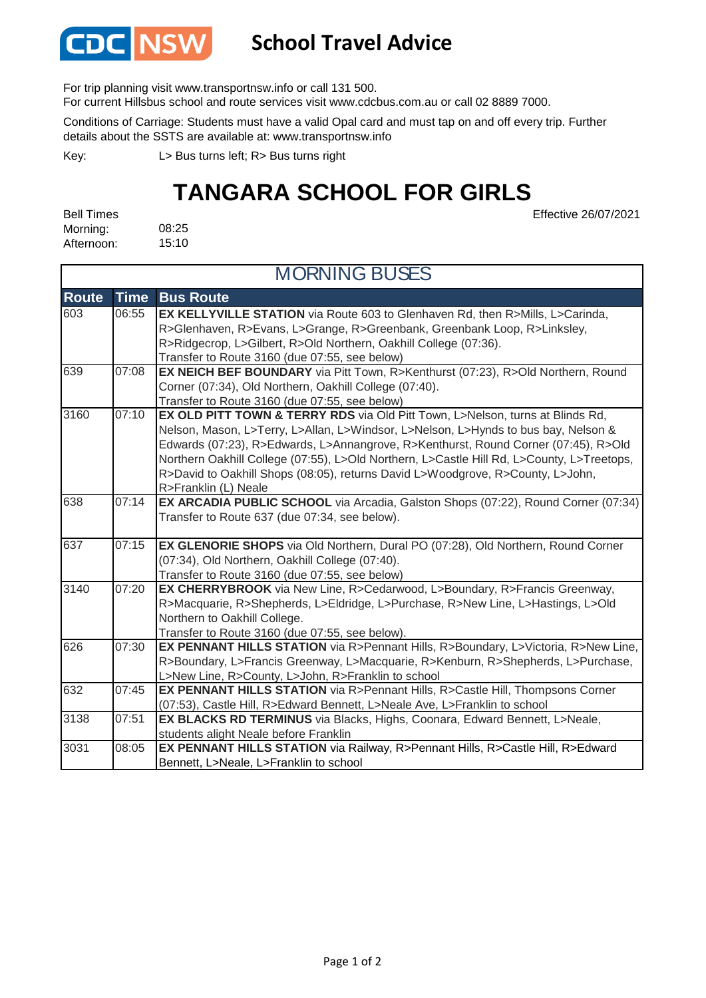

## **School Travel Advice**

For trip planning visit www.transportnsw.info or call 131 500.

For current Hillsbus school and route services visit www.cdcbus.com.au or call 02 8889 7000.

Conditions of Carriage: Students must have a valid Opal card and must tap on and off every trip. Further details about the SSTS are available at: www.transportnsw.info

L> Bus turns left; R> Bus turns right Key:

## **TANGARA SCHOOL FOR GIRLS**

Effective 26/07/2021

08:25 15:10 Bell Times Morning: Afternoon:

| <b>MORNING BUSES</b> |             |                                                                                                                                                                                                                                                                                                                                                                                                                                                                  |  |
|----------------------|-------------|------------------------------------------------------------------------------------------------------------------------------------------------------------------------------------------------------------------------------------------------------------------------------------------------------------------------------------------------------------------------------------------------------------------------------------------------------------------|--|
| <b>Route</b>         | <b>Time</b> | <b>Bus Route</b>                                                                                                                                                                                                                                                                                                                                                                                                                                                 |  |
| 603                  | 06:55       | EX KELLYVILLE STATION via Route 603 to Glenhaven Rd, then R>Mills, L>Carinda,<br>R>Glenhaven, R>Evans, L>Grange, R>Greenbank, Greenbank Loop, R>Linksley,<br>R>Ridgecrop, L>Gilbert, R>Old Northern, Oakhill College (07:36).<br>Transfer to Route 3160 (due 07:55, see below)                                                                                                                                                                                   |  |
| 639                  | 07:08       | EX NEICH BEF BOUNDARY via Pitt Town, R>Kenthurst (07:23), R>Old Northern, Round<br>Corner (07:34), Old Northern, Oakhill College (07:40).<br>Transfer to Route 3160 (due 07:55, see below)                                                                                                                                                                                                                                                                       |  |
| 3160                 | 07:10       | EX OLD PITT TOWN & TERRY RDS via Old Pitt Town, L>Nelson, turns at Blinds Rd,<br>Nelson, Mason, L>Terry, L>Allan, L>Windsor, L>Nelson, L>Hynds to bus bay, Nelson &<br>Edwards (07:23), R>Edwards, L>Annangrove, R>Kenthurst, Round Corner (07:45), R>Old<br>Northern Oakhill College (07:55), L>Old Northern, L>Castle Hill Rd, L>County, L>Treetops,<br>R>David to Oakhill Shops (08:05), returns David L>Woodgrove, R>County, L>John,<br>R>Franklin (L) Neale |  |
| 638                  | 07:14       | EX ARCADIA PUBLIC SCHOOL via Arcadia, Galston Shops (07:22), Round Corner (07:34)<br>Transfer to Route 637 (due 07:34, see below).                                                                                                                                                                                                                                                                                                                               |  |
| 637                  | 07:15       | EX GLENORIE SHOPS via Old Northern, Dural PO (07:28), Old Northern, Round Corner<br>(07:34), Old Northern, Oakhill College (07:40).<br>Transfer to Route 3160 (due 07:55, see below)                                                                                                                                                                                                                                                                             |  |
| 3140                 | 07:20       | EX CHERRYBROOK via New Line, R>Cedarwood, L>Boundary, R>Francis Greenway,<br>R>Macquarie, R>Shepherds, L>Eldridge, L>Purchase, R>New Line, L>Hastings, L>Old<br>Northern to Oakhill College.<br>Transfer to Route 3160 (due 07:55, see below).                                                                                                                                                                                                                   |  |
| 626                  | 07:30       | EX PENNANT HILLS STATION via R>Pennant Hills, R>Boundary, L>Victoria, R>New Line,<br>R>Boundary, L>Francis Greenway, L>Macquarie, R>Kenburn, R>Shepherds, L>Purchase,<br>L>New Line, R>County, L>John, R>Franklin to school                                                                                                                                                                                                                                      |  |
| 632                  | 07:45       | EX PENNANT HILLS STATION via R>Pennant Hills, R>Castle Hill, Thompsons Corner<br>(07:53), Castle Hill, R>Edward Bennett, L>Neale Ave, L>Franklin to school                                                                                                                                                                                                                                                                                                       |  |
| 3138                 | 07:51       | EX BLACKS RD TERMINUS via Blacks, Highs, Coonara, Edward Bennett, L>Neale,<br>students alight Neale before Franklin                                                                                                                                                                                                                                                                                                                                              |  |
| 3031                 | 08:05       | EX PENNANT HILLS STATION via Railway, R>Pennant Hills, R>Castle Hill, R>Edward<br>Bennett, L>Neale, L>Franklin to school                                                                                                                                                                                                                                                                                                                                         |  |